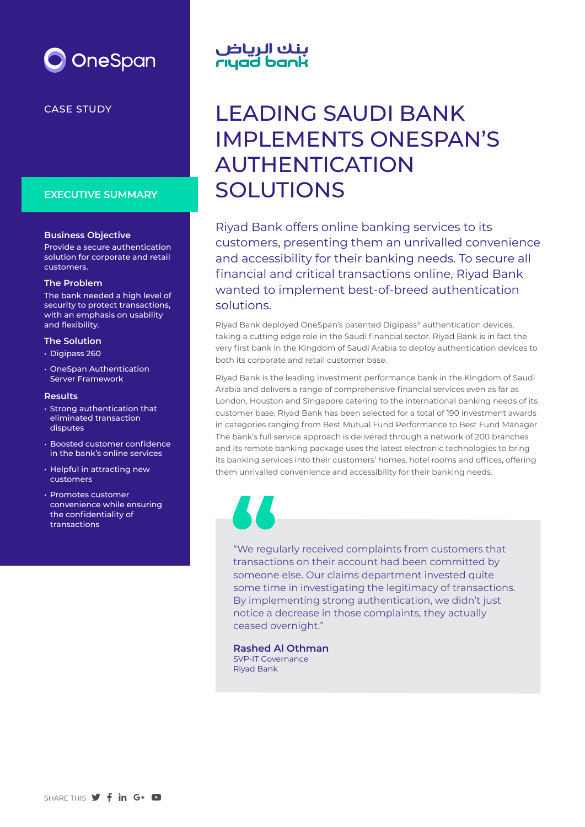

#### CASE STUDY

#### **EXECUTIVE SUMMARY**

#### **Business Objective**

Provide a secure authentication solution for corporate and retail customers.

#### **The Problem**

The bank needed a high level of security to protect transactions, with an emphasis on usability and flexibility.

#### **The Solution**

- Digipass 260
- OneSpan Authentication Server Framework

#### **Results**

- Strong authentication that eliminated transaction disputes
- Boosted customer confidence in the bank's online services
- Helpful in attracting new customers
- Promotes customer convenience while ensuring the confidentiality of transactions

# بنك الرياض<br>rıyad bank

## LEADING SAUDI BANK IMPLEMENTS ONESPAN'S AUTHENTICATION SOLUTIONS

Riyad Bank offers online banking services to its customers, presenting them an unrivalled convenience and accessibility for their banking needs. To secure all financial and critical transactions online, Riyad Bank wanted to implement best-of-breed authentication solutions.

Riyad Bank deployed OneSpan's patented Digipass® authentication devices, taking a cutting edge role in the Saudi financial sector. Riyad Bank is in fact the very first bank in the Kingdom of Saudi Arabia to deploy authentication devices to both its corporate and retail customer base.

Riyad Bank is the leading investment performance bank in the Kingdom of Saudi Arabia and delivers a range of comprehensive financial services even as far as London, Houston and Singapore catering to the international banking needs of its customer base. Riyad Bank has been selected for a total of 190 investment awards in categories ranging from Best Mutual Fund Performance to Best Fund Manager. The bank's full service approach is delivered through a network of 200 branches and its remote banking package uses the latest electronic technologies to bring its banking services into their customers' homes, hotel rooms and offices, offering them unrivalled convenience and accessibility for their banking needs.

"We regularly received complaints from customers that transactions on their account had been committed by someone else. Our claims department invested quite some time in investigating the legitimacy of transactions. By implementing strong authentication, we didn't just notice a decrease in those complaints, they actually ceased overnight." **Solution**<br>
"We regulate and the someone

**Rashed Al Othman** SVP-IT Governance Riyad Bank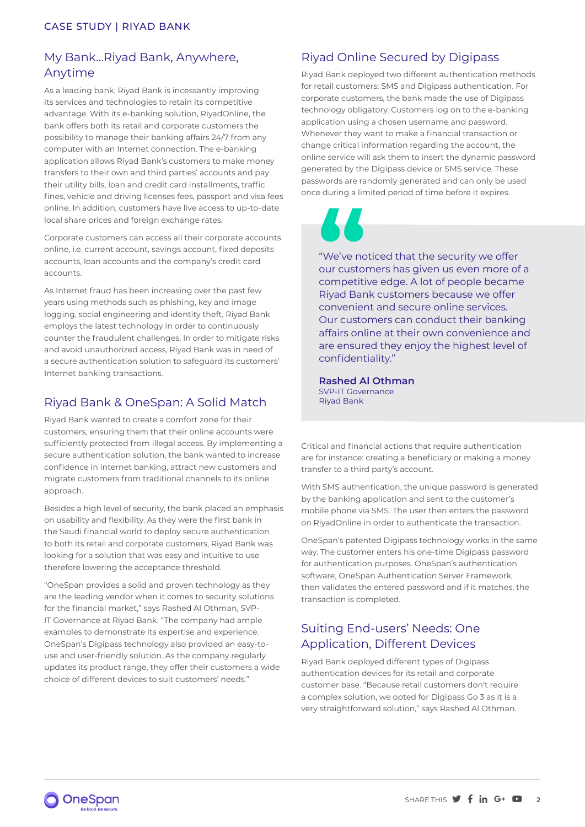## My Bank…Riyad Bank, Anywhere, Anytime

As a leading bank, Riyad Bank is incessantly improving its services and technologies to retain its competitive advantage. With its e-banking solution, RiyadOnline, the bank offers both its retail and corporate customers the possibility to manage their banking affairs 24/7 from any computer with an Internet connection. The e-banking application allows Riyad Bank's customers to make money transfers to their own and third parties' accounts and pay their utility bills, loan and credit card installments, traffic fines, vehicle and driving licenses fees, passport and visa fees online. In addition, customers have live access to up-to-date local share prices and foreign exchange rates.

Corporate customers can access all their corporate accounts online, i.e. current account, savings account, fixed deposits accounts, loan accounts and the company's credit card accounts.

As Internet fraud has been increasing over the past few years using methods such as phishing, key and image logging, social engineering and identity theft, Riyad Bank employs the latest technology in order to continuously counter the fraudulent challenges. In order to mitigate risks and avoid unauthorized access, Riyad Bank was in need of a secure authentication solution to safeguard its customers' Internet banking transactions.

## Riyad Bank & OneSpan: A Solid Match

Riyad Bank wanted to create a comfort zone for their customers, ensuring them that their online accounts were sufficiently protected from illegal access. By implementing a secure authentication solution, the bank wanted to increase confidence in internet banking, attract new customers and migrate customers from traditional channels to its online approach.

Besides a high level of security, the bank placed an emphasis on usability and flexibility. As they were the first bank in the Saudi financial world to deploy secure authentication to both its retail and corporate customers, Riyad Bank was looking for a solution that was easy and intuitive to use therefore lowering the acceptance threshold.

"OneSpan provides a solid and proven technology as they are the leading vendor when it comes to security solutions for the financial market," says Rashed Al Othman, SVP-IT Governance at Riyad Bank. "The company had ample examples to demonstrate its expertise and experience. OneSpan's Digipass technology also provided an easy-touse and user-friendly solution. As the company regularly updates its product range, they offer their customers a wide choice of different devices to suit customers' needs."

## Riyad Online Secured by Digipass

Riyad Bank deployed two different authentication methods for retail customers: SMS and Digipass authentication. For corporate customers, the bank made the use of Digipass technology obligatory. Customers log on to the e-banking application using a chosen username and password. Whenever they want to make a financial transaction or change critical information regarding the account, the online service will ask them to insert the dynamic password generated by the Digipass device or SMS service. These passwords are randomly generated and can only be used once during a limited period of time before it expires.

"We've noticed that the security we offer our customers has given us even more of a competitive edge. A lot of people became Riyad Bank customers because we offer convenient and secure online services. Our customers can conduct their banking affairs online at their own convenience and are ensured they enjoy the highest level of confidentiality." **CONTROVERSITY**<br>
"We've no<br>
competiti<br>
Riyad Bar

**Rashed Al Othman** SVP-IT Governance Riyad Bank

Critical and financial actions that require authentication are for instance: creating a beneficiary or making a money transfer to a third party's account.

With SMS authentication, the unique password is generated by the banking application and sent to the customer's mobile phone via SMS. The user then enters the password on RiyadOnline in order to authenticate the transaction.

OneSpan's patented Digipass technology works in the same way. The customer enters his one-time Digipass password for authentication purposes. OneSpan's authentication software, OneSpan Authentication Server Framework, then validates the entered password and if it matches, the transaction is completed.

## Suiting End-users' Needs: One Application, Different Devices

Riyad Bank deployed different types of Digipass authentication devices for its retail and corporate customer base. "Because retail customers don't require a complex solution, we opted for Digipass Go 3 as it is a very straightforward solution," says Rashed Al Othman.